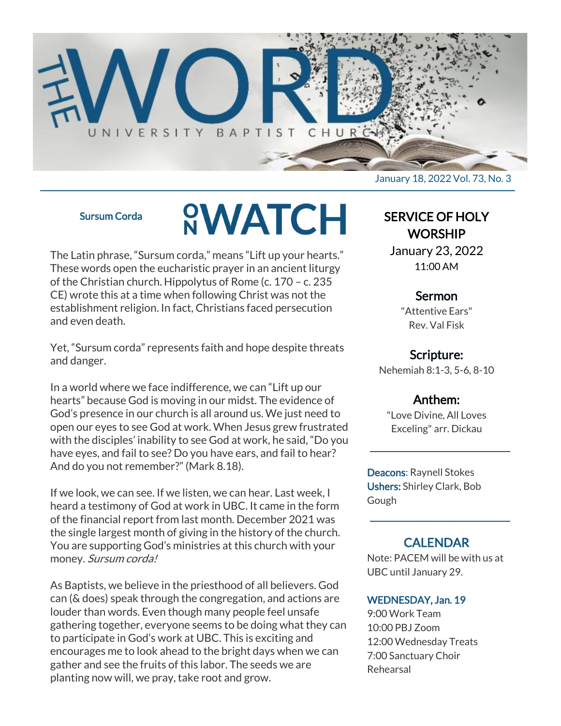

#### Sursum Corda

# **SWATCH**

The Latin phrase, "Sursum corda," means "Lift up your hearts." These words open the eucharistic prayer in an ancient liturgy of the Christian church. Hippolytus of Rome (c. 170 – c. 235 CE) wrote this at a time when following Christ was not the establishment religion. In fact, Christians faced persecution and even death.

Yet, "Sursum corda" represents faith and hope despite threats and danger.

In a world where we face indifference, we can "Lift up our hearts" because God is moving in our midst. The evidence of God's presence in our church is all around us. We just need to open our eyes to see God at work. When Jesus grew frustrated with the disciples' inability to see God at work, he said, "Do you have eyes, and fail to see? Do you have ears, and fail to hear? And do you not remember?" (Mark 8.18).

If we look, we can see. If we listen, we can hear. Last week, I heard a testimony of God at work in UBC. It came in the form of the financial report from last month. December 2021 was the single largest month of giving in the history of the church. You are supporting God's ministries at this church with your money. Sursum corda!

As Baptists, we believe in the priesthood of all believers. God can (& does) speak through the congregation, and actions are louder than words. Even though many people feel unsafe gathering together, everyone seems to be doing what they can to participate in God's work at UBC. This is exciting and encourages me to look ahead to the bright days when we can gather and see the fruits of this labor. The seeds we are planting now will, we pray, take root and grow.

January 18, 2022 Vol. 73, No. 3

# SERVICE OF HOLY **WORSHIP**

January 23, 2022 11:00 AM

# Sermon

"Attentive Ears" Rev. Val Fisk

# Scripture:

Nehemiah 8:1-3, 5-6, 8-10

# Anthem:

"Love Divine, All Loves Exceling" arr. Dickau

Deacons: Raynell Stokes Ushers: Shirley Clark, Bob Gough

# **CALENDAR**

Note: PACEM will be with us at UBC until January 29.

## WEDNESDAY, Jan. 19

9:00 Work Team 10:00 PBJ Zoom 12:00 Wednesday Treats 7:00 Sanctuary Choir Rehearsal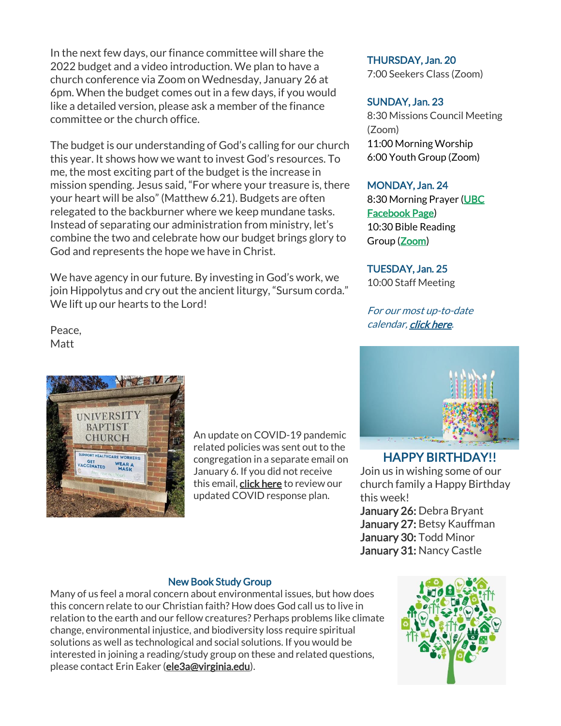In the next few days, our finance committee will share the 2022 budget and a video introduction. We plan to have a church conference via Zoom on Wednesday, January 26 at 6pm. When the budget comes out in a few days, if you would like a detailed version, please ask a member of the finance committee or the church office.

The budget is our understanding of God's calling for our church this year. It shows how we want to invest God's resources. To me, the most exciting part of the budget is the increase in mission spending. Jesus said, "For where your treasure is, there your heart will be also" (Matthew 6.21). Budgets are often relegated to the backburner where we keep mundane tasks. Instead of separating our administration from ministry, let's combine the two and celebrate how our budget brings glory to God and represents the hope we have in Christ.

We have agency in our future. By investing in God's work, we join Hippolytus and cry out the ancient liturgy, "Sursum corda." We lift up our hearts to the Lord!

Peace, Matt



An update on COVID-19 pandemic related policies was sent out to the congregation in a separate email on January 6. If you did not receive this email, [click here](https://conta.cc/3q90Qhr) to review our updated COVID response plan.

THURSDAY, Jan. 20

7:00 Seekers Class (Zoom)

## SUNDAY, Jan. 23

8:30 Missions Council Meeting (Zoom) 11:00 Morning Worship 6:00 Youth Group (Zoom)

#### MONDAY, Jan. 24

8:30 Morning Prayer [\(UBC](https://www.facebook.com/UniversityBaptistChurchCharlottesville) [Facebook Page\)](https://www.facebook.com/UniversityBaptistChurchCharlottesville) 10:30 Bible Reading Group [\(Zoom\)](https://us02web.zoom.us/j/85381408096?pwd=MzdkVG9JZ2x0M2JFK01KNlNjSWtqUT09)

#### TUESDAY, Jan. 25

10:00 Staff Meeting

For our most up-to-date calendar, [click here.](https://universitybaptist.org/calendar/)



# HAPPY BIRTHDAY!!

Join us in wishing some of our church family a Happy Birthday this week!

January 26: Debra Bryant January 27: Betsy Kauffman January 30: Todd Minor January 31: Nancy Castle

#### New Book Study Group

Many of us feel a moral concern about environmental issues, but how does this concern relate to our Christian faith? How does God call us to live in relation to the earth and our fellow creatures? Perhaps problems like climate change, environmental injustice, and biodiversity loss require spiritual solutions as well as technological and social solutions. If you would be interested in joining a reading/study group on these and related questions, please contact Erin Eaker [\(ele3a@virginia.edu\)](mailto:ele3a@virginia.edu).

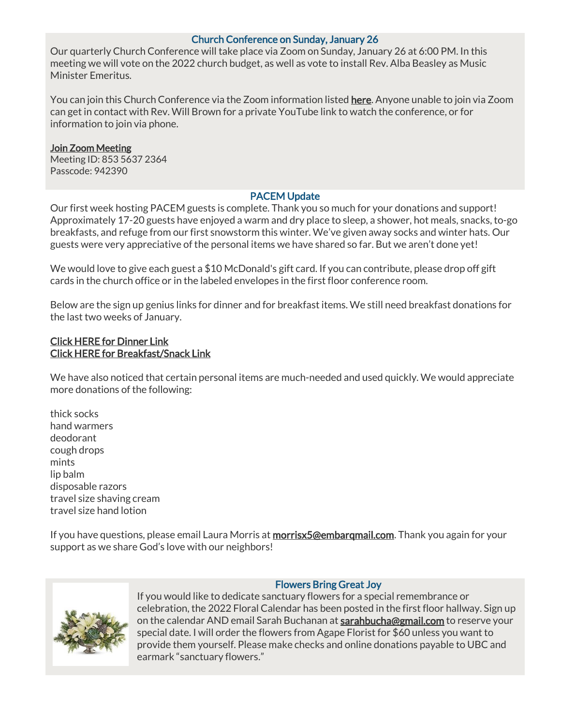### Church Conference on Sunday, January 26

Our quarterly Church Conference will take place via Zoom on Sunday, January 26 at 6:00 PM. In this meeting we will vote on the 2022 church budget, as well as vote to install Rev. Alba Beasley as Music Minister Emeritus.

You can join this Church Conference via the Zoom information listed [here.](https://us02web.zoom.us/j/85356372364?pwd=dFhNZlVGT3Fmbzhyc3VZZHYrdS94UT09) Anyone unable to join via Zoom can get in contact with Rev. Will Brown for a private YouTube link to watch the conference, or for information to join via phone.

# [Join Zoom Meeting](https://us02web.zoom.us/j/85356372364?pwd=dFhNZlVGT3Fmbzhyc3VZZHYrdS94UT09)

Meeting ID: 853 5637 2364 Passcode: 942390

## PACEM Update

Our first week hosting PACEM guests is complete. Thank you so much for your donations and support! Approximately 17-20 guests have enjoyed a warm and dry place to sleep, a shower, hot meals, snacks, to-go breakfasts, and refuge from our first snowstorm this winter. We've given away socks and winter hats. Our guests were very appreciative of the personal items we have shared so far. But we aren't done yet!

We would love to give each guest a \$10 McDonald's gift card. If you can contribute, please drop off gift cards in the church office or in the labeled envelopes in the first floor conference room.

Below are the sign up genius links for dinner and for breakfast items. We still need breakfast donations for the last two weeks of January.

#### [Click HERE for Dinner Link](https://m.signupgenius.com/#!/showSignUp/70a0c4ea8aa23a0f58-pacem3) [Click HERE for Breakfast/Snack Link](https://www.signupgenius.com/go/10c0d4eada62aa3f9c70-pacem)

We have also noticed that certain personal items are much-needed and used quickly. We would appreciate more donations of the following:

thick socks hand warmers deodorant cough drops mints lip balm disposable razors travel size shaving cream travel size hand lotion

If you have questions, please email Laura Morris at morrisx5@embargmail.com. Thank you again for your support as we share God's love with our neighbors!



#### Flowers Bring Great Joy

If you would like to dedicate sanctuary flowers for a special remembrance or celebration, the 2022 Floral Calendar has been posted in the first floor hallway. Sign up on the calendar AND email Sarah Buchanan at [sarahbucha@gmail.com](mailto:sarahbucha@gmail.com) to reserve your special date. I will order the flowers from Agape Florist for \$60 unless you want to provide them yourself. Please make checks and online donations payable to UBC and earmark "sanctuary flowers."